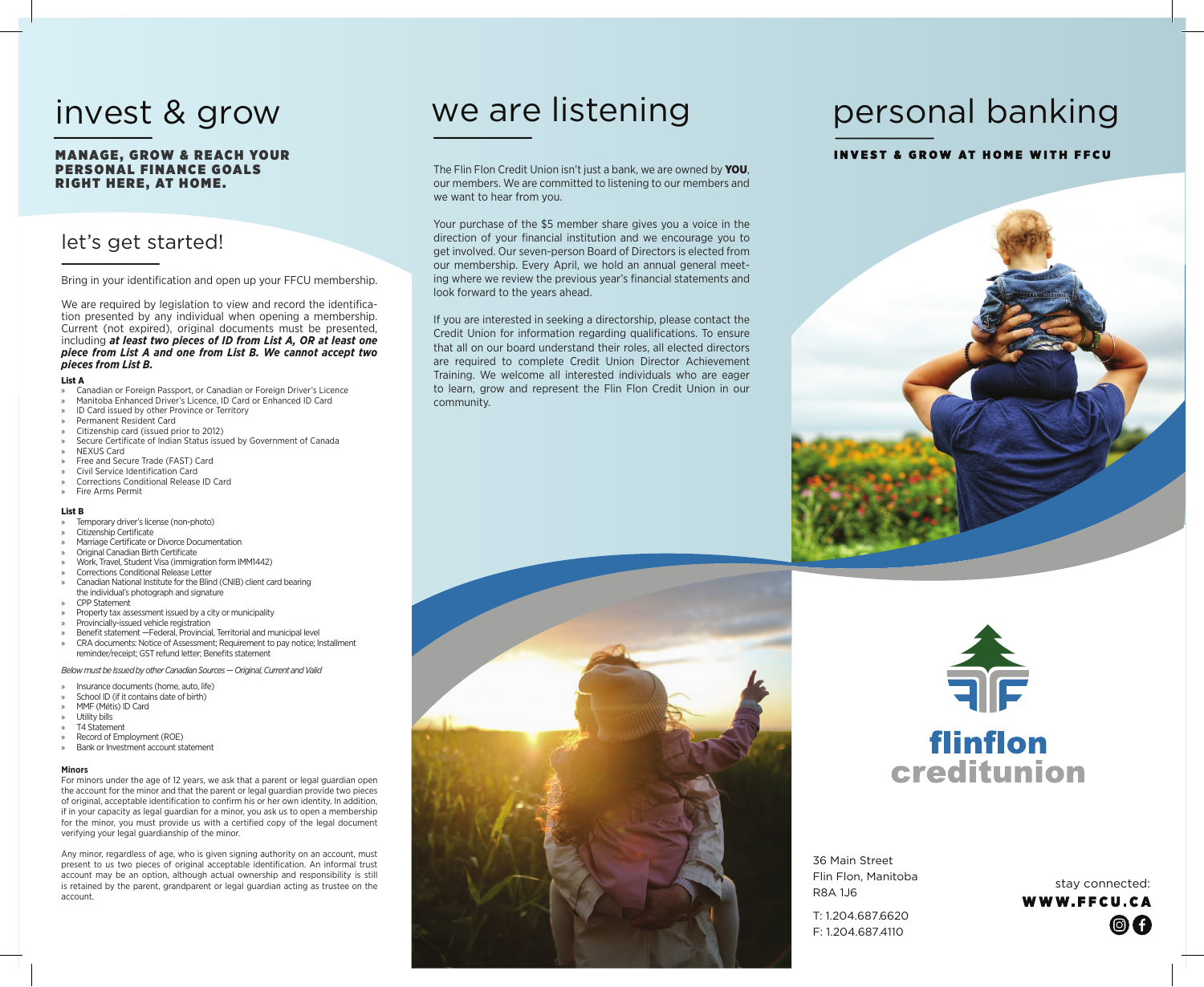### **MANAGE, GROW & REACH YOUR** PERSONAL FINANCE GOALS RIGHT HERE, AT HOME.

### let's get started!

Bring in your identification and open up your FFCU membership.

We are required by legislation to view and record the identification presented by any individual when opening a membership. Current (not expired), original documents must be presented, including *at least two pieces of ID from List A, OR at least one piece from List A and one from List B. We cannot accept two pieces from List B.*

#### List A

- » Canadian or Foreign Passport, or Canadian or Foreign Driver's Licence
- » Manitoba Enhanced Driver's Licence, ID Card or Enhanced ID Card
- ID Card issued by other Province or Territory
- » Permanent Resident Card
- » Citizenship card (issued prior to 2012)
- Secure Certificate of Indian Status issued by Government of Canada
- » NEXUS Card
- » Free and Secure Trade (FAST) Card » Civil Service Identification Card
- » Corrections Conditional Release ID Card
- » Fire Arms Permit

#### List B

- Temporary driver's license (non-photo)
- » Citizenship Certificate
- » Marriage Certificate or Divorce Documentation
- » Original Canadian Birth Certificate
- » Work, Travel, Student Visa (immigration form IMM1442) » Corrections Conditional Release Letter
- » Canadian National Institute for the Blind (CNIB) client card bearing the individual's photograph and signature
- » CPP Statement
- » Property tax assessment issued by a city or municipality
- » Provincially-issued vehicle registration
- » Benefit statement —Federal, Provincial, Territorial and municipal level » CRA documents: Notice of Assessment; Requirement to pay notice; Installment reminder/receipt; GST refund letter; Benefits statement

*Below must be Issued by other Canadian Sources — Original, Current and Valid*

- » Insurance documents (home, auto, life)
- School ID (if it contains date of birth)
- » MMF (Métis) ID Card
- » Utility bills
- » T4 Statement
- » Record of Employment (ROE) » Bank or Investment account statement
- 

#### **Minors**

For minors under the age of 12 years, we ask that a parent or legal guardian open the account for the minor and that the parent or legal guardian provide two pieces of original, acceptable identification to confirm his or her own identity. In addition, if in your capacity as legal guardian for a minor, you ask us to open a membership for the minor, you must provide us with a certified copy of the legal document verifying your legal guardianship of the minor.

Any minor, regardless of age, who is given signing authority on an account, must present to us two pieces of original acceptable identification. An informal trust account may be an option, although actual ownership and responsibility is still is retained by the parent, grandparent or legal guardian acting as trustee on the account.

# invest & grow we are listening

The Flin Flon Credit Union isn't just a bank, we are owned by YOU, our members. We are committed to listening to our members and we want to hear from you.

Your purchase of the \$5 member share gives you a voice in the direction of your financial institution and we encourage you to get involved. Our seven-person Board of Directors is elected from our membership. Every April, we hold an annual general meeting where we review the previous year's financial statements and look forward to the years ahead.

If you are interested in seeking a directorship, please contact the Credit Union for information regarding qualifications. To ensure that all on our board understand their roles, all elected directors are required to complete Credit Union Director Achievement Training. We welcome all interested individuals who are eager to learn, grow and represent the Flin Flon Credit Union in our community.



# personal banking

### **INVEST & GROW AT HOME WITH FFCU**





36 Main Street Flin Flon, Manitoba R8A 1J6 T: 1.204.687.6620 F: 1.204.687.4110

stay connected: WWW.FFCU.CA © A